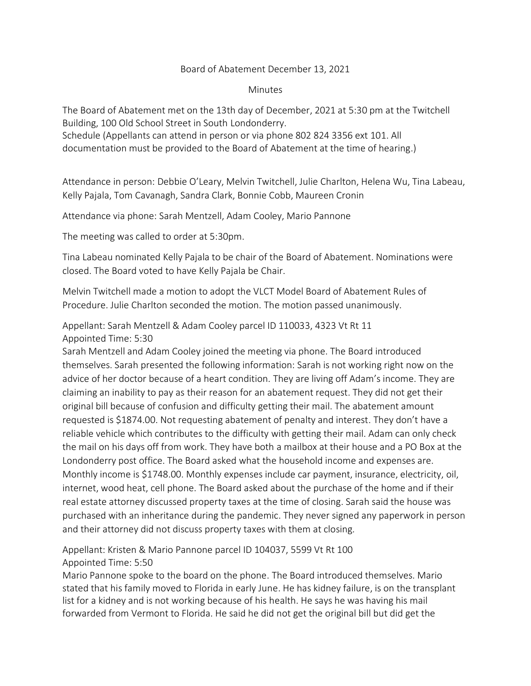## Board of Abatement December 13, 2021

## **Minutes**

The Board of Abatement met on the 13th day of December, 2021 at 5:30 pm at the Twitchell Building, 100 Old School Street in South Londonderry.

Schedule (Appellants can attend in person or via phone 802 824 3356 ext 101. All documentation must be provided to the Board of Abatement at the time of hearing.)

Attendance in person: Debbie O'Leary, Melvin Twitchell, Julie Charlton, Helena Wu, Tina Labeau, Kelly Pajala, Tom Cavanagh, Sandra Clark, Bonnie Cobb, Maureen Cronin

Attendance via phone: Sarah Mentzell, Adam Cooley, Mario Pannone

The meeting was called to order at 5:30pm.

Tina Labeau nominated Kelly Pajala to be chair of the Board of Abatement. Nominations were closed. The Board voted to have Kelly Pajala be Chair.

Melvin Twitchell made a motion to adopt the VLCT Model Board of Abatement Rules of Procedure. Julie Charlton seconded the motion. The motion passed unanimously.

Appellant: Sarah Mentzell & Adam Cooley parcel ID 110033, 4323 Vt Rt 11 Appointed Time: 5:30

Sarah Mentzell and Adam Cooley joined the meeting via phone. The Board introduced themselves. Sarah presented the following information: Sarah is not working right now on the advice of her doctor because of a heart condition. They are living off Adam's income. They are claiming an inability to pay as their reason for an abatement request. They did not get their original bill because of confusion and difficulty getting their mail. The abatement amount requested is \$1874.00. Not requesting abatement of penalty and interest. They don't have a reliable vehicle which contributes to the difficulty with getting their mail. Adam can only check the mail on his days off from work. They have both a mailbox at their house and a PO Box at the Londonderry post office. The Board asked what the household income and expenses are. Monthly income is \$1748.00. Monthly expenses include car payment, insurance, electricity, oil, internet, wood heat, cell phone. The Board asked about the purchase of the home and if their real estate attorney discussed property taxes at the time of closing. Sarah said the house was purchased with an inheritance during the pandemic. They never signed any paperwork in person and their attorney did not discuss property taxes with them at closing.

Appellant: Kristen & Mario Pannone parcel ID 104037, 5599 Vt Rt 100 Appointed Time: 5:50

Mario Pannone spoke to the board on the phone. The Board introduced themselves. Mario stated that his family moved to Florida in early June. He has kidney failure, is on the transplant list for a kidney and is not working because of his health. He says he was having his mail forwarded from Vermont to Florida. He said he did not get the original bill but did get the